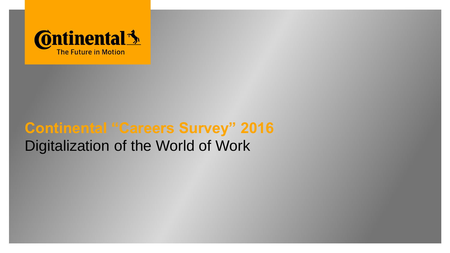

# **Continental "Careers Survey" 2016** Digitalization of the World of Work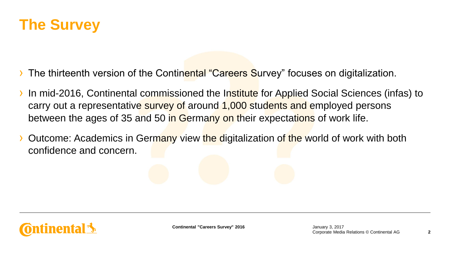

- The thirteenth version of the Continental "Careers Survey" focuses on digitalization.
- In mid-2016, Continental commissioned the Institute for Applied Social Sciences (infas) to carry out a representative survey of around 1,000 students and employed persons between the ages of 35 and 50 in Germany on their expectations of work life.
- Outcome: Academics in Germany view the digitalization of the world of work with both confidence and concern.

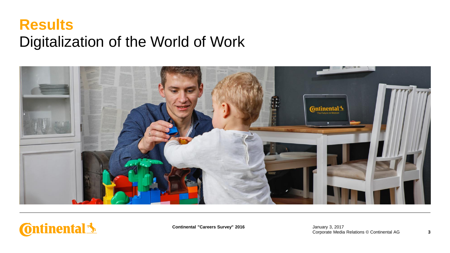#### **Results** Digitalization of the World of Work





**Continental "Careers Survey" 2016**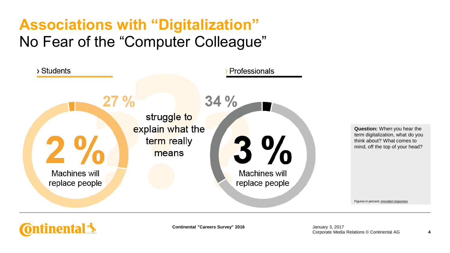# **Associations with "Digitalization"** No Fear of the "Computer Colleague"



**Question:** When you hear the term digitalization, what do you think about? What comes to mind, off the top of your head?

Figures in percent; encoded responses

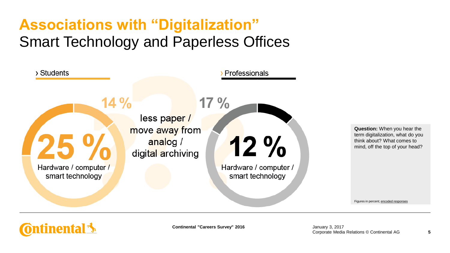# **Associations with "Digitalization"** Smart Technology and Paperless Offices



**Question:** When you hear the term digitalization, what do you think about? What comes to mind, off the top of your head?

Figures in percent; encoded responses

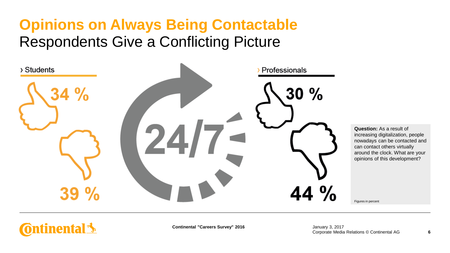#### **Opinions on Always Being Contactable** Respondents Give a Conflicting Picture



**Question:** As a result of increasing digitalization, people nowadays can be contacted and can contact others virtually around the clock. What are your opinions of this development?

Figures in percent

#### **Ontinental**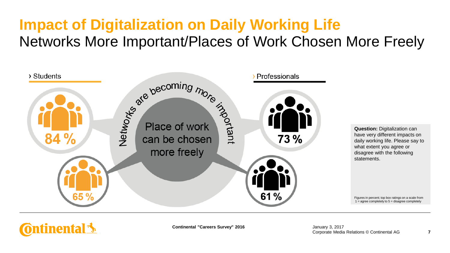# **Impact of Digitalization on Daily Working Life** Networks More Important/Places of Work Chosen More Freely



**Question:** Digitalization can have very different impacts on daily working life. Please say to what extent you agree or disagree with the following statements.

Figures in percent; top box ratings on a scale from  $1 =$  agree completely to  $5 =$  disagree completely

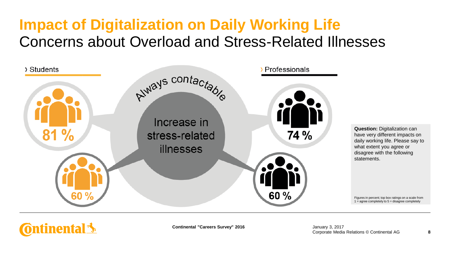## **Impact of Digitalization on Daily Working Life** Concerns about Overload and Stress-Related Illnesses



**Question:** Digitalization can have very different impacts on daily working life. Please say to what extent you agree or disagree with the following statements.

Figures in percent; top box ratings on a scale from  $1 =$  agree completely to  $5 =$  disagree completely

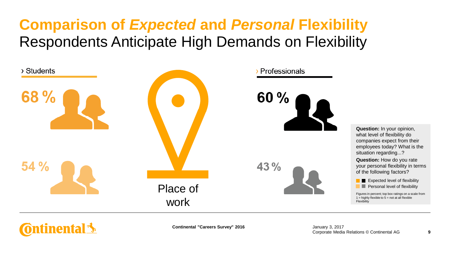### **Comparison of** *Expected* **and** *Personal* **Flexibility** Respondents Anticipate High Demands on Flexibility



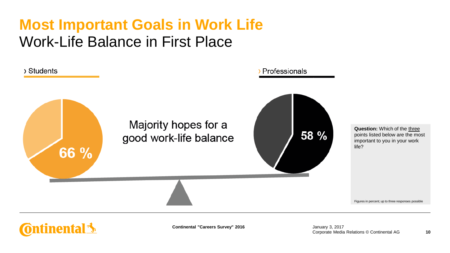### **Most Important Goals in Work Life** Work-Life Balance in First Place



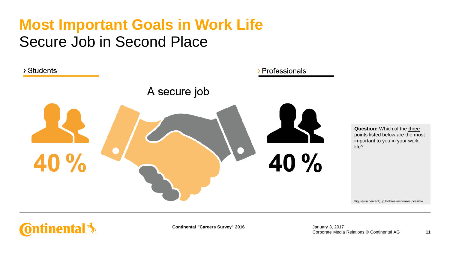## **Most Important Goals in Work Life** Secure Job in Second Place





**Continental "Careers Survey" 2016**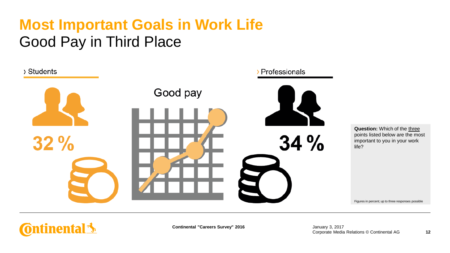# **Most Important Goals in Work Life** Good Pay in Third Place

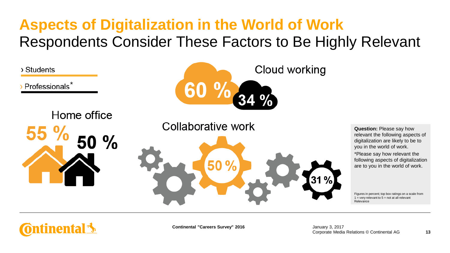# **Aspects of Digitalization in the World of Work** Respondents Consider These Factors to Be Highly Relevant



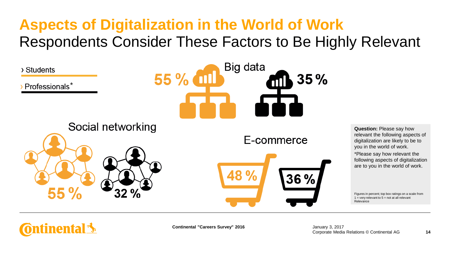# **Aspects of Digitalization in the World of Work** Respondents Consider These Factors to Be Highly Relevant



**Ontinental 3**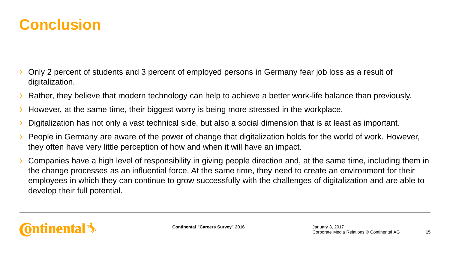

- Only 2 percent of students and 3 percent of employed persons in Germany fear job loss as a result of digitalization.
- › Rather, they believe that modern technology can help to achieve a better work-life balance than previously.
- However, at the same time, their biggest worry is being more stressed in the workplace.
- Digitalization has not only a vast technical side, but also a social dimension that is at least as important.
- › People in Germany are aware of the power of change that digitalization holds for the world of work. However, they often have very little perception of how and when it will have an impact.
- › Companies have a high level of responsibility in giving people direction and, at the same time, including them in the change processes as an influential force. At the same time, they need to create an environment for their employees in which they can continue to grow successfully with the challenges of digitalization and are able to develop their full potential.